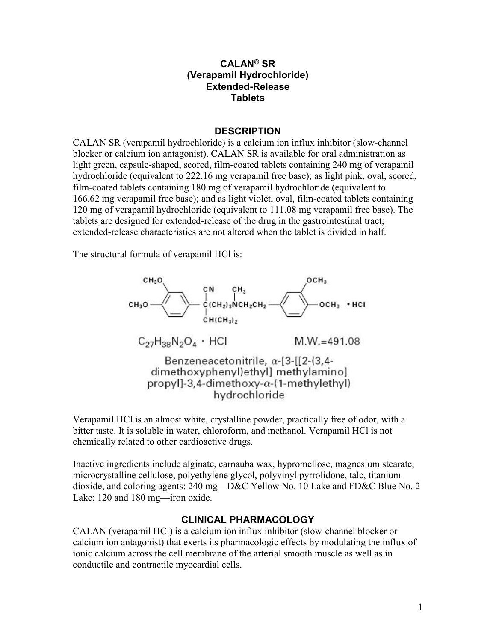### **CALAN® SR (Verapamil Hydrochloride) Extended-Release Tablets**

### **DESCRIPTION**

CALAN SR (verapamil hydrochloride) is a calcium ion influx inhibitor (slow-channel blocker or calcium ion antagonist). CALAN SR is available for oral administration as light green, capsule-shaped, scored, film-coated tablets containing 240 mg of verapamil hydrochloride (equivalent to 222.16 mg verapamil free base); as light pink, oval, scored, film-coated tablets containing 180 mg of verapamil hydrochloride (equivalent to 166.62 mg verapamil free base); and as light violet, oval, film-coated tablets containing 120 mg of verapamil hydrochloride (equivalent to 111.08 mg verapamil free base). The tablets are designed for extended-release of the drug in the gastrointestinal tract; extended-release characteristics are not altered when the tablet is divided in half.

The structural formula of verapamil HCl is:



Verapamil HCl is an almost white, crystalline powder, practically free of odor, with a bitter taste. It is soluble in water, chloroform, and methanol. Verapamil HCl is not chemically related to other cardioactive drugs.

Inactive ingredients include alginate, carnauba wax, hypromellose, magnesium stearate, microcrystalline cellulose, polyethylene glycol, polyvinyl pyrrolidone, talc, titanium dioxide, and coloring agents: 240 mg—D&C Yellow No. 10 Lake and FD&C Blue No. 2 Lake; 120 and 180 mg—iron oxide.

## **CLINICAL PHARMACOLOGY**

CALAN (verapamil HCl) is a calcium ion influx inhibitor (slow-channel blocker or calcium ion antagonist) that exerts its pharmacologic effects by modulating the influx of ionic calcium across the cell membrane of the arterial smooth muscle as well as in conductile and contractile myocardial cells.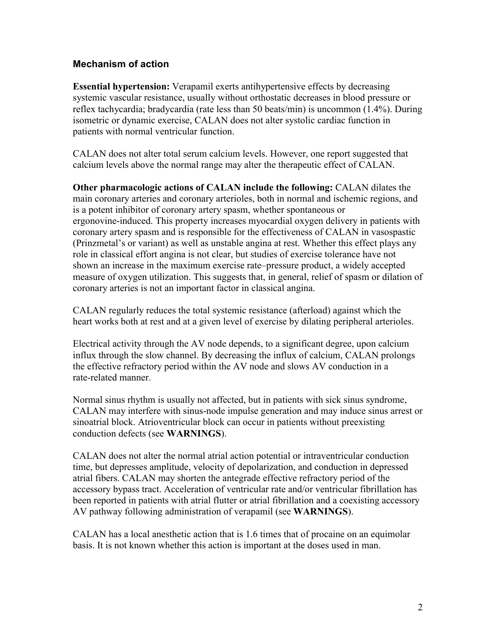## **Mechanism of action**

**Essential hypertension:** Verapamil exerts antihypertensive effects by decreasing systemic vascular resistance, usually without orthostatic decreases in blood pressure or reflex tachycardia; bradycardia (rate less than 50 beats/min) is uncommon (1.4%). During isometric or dynamic exercise, CALAN does not alter systolic cardiac function in patients with normal ventricular function.

CALAN does not alter total serum calcium levels. However, one report suggested that calcium levels above the normal range may alter the therapeutic effect of CALAN.

**Other pharmacologic actions of CALAN include the following:** CALAN dilates the main coronary arteries and coronary arterioles, both in normal and ischemic regions, and is a potent inhibitor of coronary artery spasm, whether spontaneous or ergonovine-induced. This property increases myocardial oxygen delivery in patients with coronary artery spasm and is responsible for the effectiveness of CALAN in vasospastic (Prinzmetal's or variant) as well as unstable angina at rest. Whether this effect plays any role in classical effort angina is not clear, but studies of exercise tolerance have not shown an increase in the maximum exercise rate–pressure product, a widely accepted measure of oxygen utilization. This suggests that, in general, relief of spasm or dilation of coronary arteries is not an important factor in classical angina.

CALAN regularly reduces the total systemic resistance (afterload) against which the heart works both at rest and at a given level of exercise by dilating peripheral arterioles.

Electrical activity through the AV node depends, to a significant degree, upon calcium influx through the slow channel. By decreasing the influx of calcium, CALAN prolongs the effective refractory period within the AV node and slows AV conduction in a rate-related manner.

Normal sinus rhythm is usually not affected, but in patients with sick sinus syndrome, CALAN may interfere with sinus-node impulse generation and may induce sinus arrest or sinoatrial block. Atrioventricular block can occur in patients without preexisting conduction defects (see **WARNINGS**).

CALAN does not alter the normal atrial action potential or intraventricular conduction time, but depresses amplitude, velocity of depolarization, and conduction in depressed atrial fibers. CALAN may shorten the antegrade effective refractory period of the accessory bypass tract. Acceleration of ventricular rate and/or ventricular fibrillation has been reported in patients with atrial flutter or atrial fibrillation and a coexisting accessory AV pathway following administration of verapamil (see **WARNINGS**).

CALAN has a local anesthetic action that is 1.6 times that of procaine on an equimolar basis. It is not known whether this action is important at the doses used in man.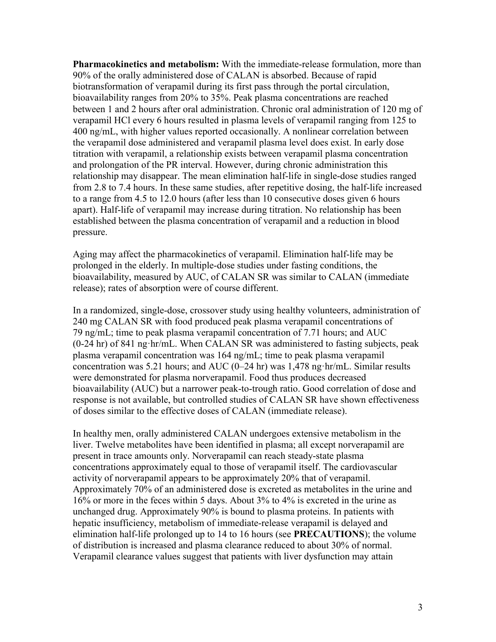**Pharmacokinetics and metabolism:** With the immediate-release formulation, more than 90% of the orally administered dose of CALAN is absorbed. Because of rapid biotransformation of verapamil during its first pass through the portal circulation, bioavailability ranges from 20% to 35%. Peak plasma concentrations are reached between 1 and 2 hours after oral administration. Chronic oral administration of 120 mg of verapamil HCl every 6 hours resulted in plasma levels of verapamil ranging from 125 to 400 ng/mL, with higher values reported occasionally. A nonlinear correlation between the verapamil dose administered and verapamil plasma level does exist. In early dose titration with verapamil, a relationship exists between verapamil plasma concentration and prolongation of the PR interval. However, during chronic administration this relationship may disappear. The mean elimination half-life in single-dose studies ranged from 2.8 to 7.4 hours. In these same studies, after repetitive dosing, the half-life increased to a range from 4.5 to 12.0 hours (after less than 10 consecutive doses given 6 hours apart). Half-life of verapamil may increase during titration. No relationship has been established between the plasma concentration of verapamil and a reduction in blood pressure.

Aging may affect the pharmacokinetics of verapamil. Elimination half-life may be prolonged in the elderly. In multiple-dose studies under fasting conditions, the bioavailability, measured by AUC, of CALAN SR was similar to CALAN (immediate release); rates of absorption were of course different.

In a randomized, single-dose, crossover study using healthy volunteers, administration of 240 mg CALAN SR with food produced peak plasma verapamil concentrations of 79 ng/mL; time to peak plasma verapamil concentration of 7.71 hours; and AUC (0-24 hr) of 841 ng·hr/mL. When CALAN SR was administered to fasting subjects, peak plasma verapamil concentration was 164 ng/mL; time to peak plasma verapamil concentration was 5.21 hours; and AUC (0–24 hr) was 1,478 ng·hr/mL. Similar results were demonstrated for plasma norverapamil. Food thus produces decreased bioavailability (AUC) but a narrower peak-to-trough ratio. Good correlation of dose and response is not available, but controlled studies of CALAN SR have shown effectiveness of doses similar to the effective doses of CALAN (immediate release).

In healthy men, orally administered CALAN undergoes extensive metabolism in the liver. Twelve metabolites have been identified in plasma; all except norverapamil are present in trace amounts only. Norverapamil can reach steady-state plasma concentrations approximately equal to those of verapamil itself. The cardiovascular activity of norverapamil appears to be approximately 20% that of verapamil. Approximately 70% of an administered dose is excreted as metabolites in the urine and 16% or more in the feces within 5 days. About 3% to 4% is excreted in the urine as unchanged drug. Approximately 90% is bound to plasma proteins. In patients with hepatic insufficiency, metabolism of immediate-release verapamil is delayed and elimination half-life prolonged up to 14 to 16 hours (see **PRECAUTIONS**); the volume of distribution is increased and plasma clearance reduced to about 30% of normal. Verapamil clearance values suggest that patients with liver dysfunction may attain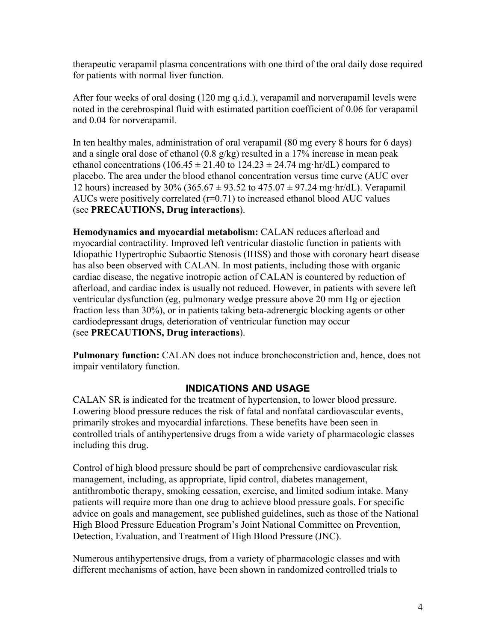therapeutic verapamil plasma concentrations with one third of the oral daily dose required for patients with normal liver function.

After four weeks of oral dosing (120 mg q.i.d.), verapamil and norverapamil levels were noted in the cerebrospinal fluid with estimated partition coefficient of 0.06 for verapamil and 0.04 for norverapamil.

In ten healthy males, administration of oral verapamil (80 mg every 8 hours for 6 days) and a single oral dose of ethanol  $(0.8 \text{ g/kg})$  resulted in a 17% increase in mean peak ethanol concentrations (106.45  $\pm$  21.40 to 124.23  $\pm$  24.74 mg·hr/dL) compared to placebo. The area under the blood ethanol concentration versus time curve (AUC over 12 hours) increased by 30% (365.67  $\pm$  93.52 to 475.07  $\pm$  97.24 mg·hr/dL). Verapamil AUCs were positively correlated  $(r=0.71)$  to increased ethanol blood AUC values (see **PRECAUTIONS, Drug interactions**).

**Hemodynamics and myocardial metabolism:** CALAN reduces afterload and myocardial contractility. Improved left ventricular diastolic function in patients with Idiopathic Hypertrophic Subaortic Stenosis (IHSS) and those with coronary heart disease has also been observed with CALAN. In most patients, including those with organic cardiac disease, the negative inotropic action of CALAN is countered by reduction of afterload, and cardiac index is usually not reduced. However, in patients with severe left ventricular dysfunction (eg, pulmonary wedge pressure above 20 mm Hg or ejection fraction less than 30%), or in patients taking beta-adrenergic blocking agents or other cardiodepressant drugs, deterioration of ventricular function may occur (see **PRECAUTIONS, Drug interactions**).

**Pulmonary function:** CALAN does not induce bronchoconstriction and, hence, does not impair ventilatory function.

## **INDICATIONS AND USAGE**

CALAN SR is indicated for the treatment of hypertension, to lower blood pressure. Lowering blood pressure reduces the risk of fatal and nonfatal cardiovascular events, primarily strokes and myocardial infarctions. These benefits have been seen in controlled trials of antihypertensive drugs from a wide variety of pharmacologic classes including this drug.

Control of high blood pressure should be part of comprehensive cardiovascular risk management, including, as appropriate, lipid control, diabetes management, antithrombotic therapy, smoking cessation, exercise, and limited sodium intake. Many patients will require more than one drug to achieve blood pressure goals. For specific advice on goals and management, see published guidelines, such as those of the National High Blood Pressure Education Program's Joint National Committee on Prevention, Detection, Evaluation, and Treatment of High Blood Pressure (JNC).

Numerous antihypertensive drugs, from a variety of pharmacologic classes and with different mechanisms of action, have been shown in randomized controlled trials to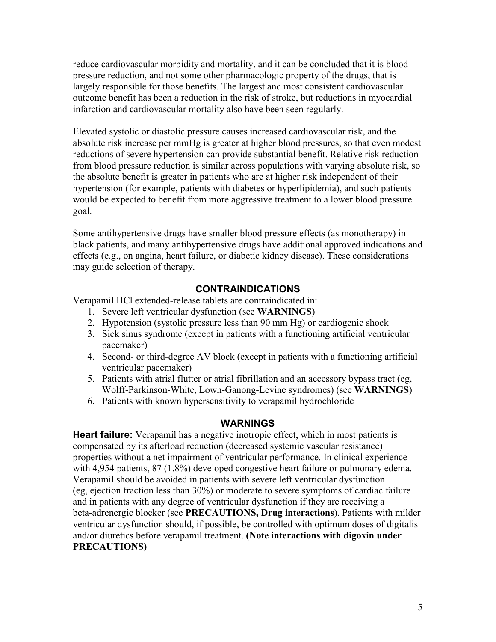reduce cardiovascular morbidity and mortality, and it can be concluded that it is blood pressure reduction, and not some other pharmacologic property of the drugs, that is largely responsible for those benefits. The largest and most consistent cardiovascular outcome benefit has been a reduction in the risk of stroke, but reductions in myocardial infarction and cardiovascular mortality also have been seen regularly.

Elevated systolic or diastolic pressure causes increased cardiovascular risk, and the absolute risk increase per mmHg is greater at higher blood pressures, so that even modest reductions of severe hypertension can provide substantial benefit. Relative risk reduction from blood pressure reduction is similar across populations with varying absolute risk, so the absolute benefit is greater in patients who are at higher risk independent of their hypertension (for example, patients with diabetes or hyperlipidemia), and such patients would be expected to benefit from more aggressive treatment to a lower blood pressure goal.

Some antihypertensive drugs have smaller blood pressure effects (as monotherapy) in black patients, and many antihypertensive drugs have additional approved indications and effects (e.g., on angina, heart failure, or diabetic kidney disease). These considerations may guide selection of therapy.

## **CONTRAINDICATIONS**

Verapamil HCl extended-release tablets are contraindicated in:

- 1. Severe left ventricular dysfunction (see **WARNINGS**)
- 2. Hypotension (systolic pressure less than 90 mm Hg) or cardiogenic shock
- 3. Sick sinus syndrome (except in patients with a functioning artificial ventricular pacemaker)
- 4. Second- or third-degree AV block (except in patients with a functioning artificial ventricular pacemaker)
- 5. Patients with atrial flutter or atrial fibrillation and an accessory bypass tract (eg, Wolff-Parkinson-White, Lown-Ganong-Levine syndromes) (see **WARNINGS**)
- 6. Patients with known hypersensitivity to verapamil hydrochloride

## **WARNINGS**

**Heart failure:** Verapamil has a negative inotropic effect, which in most patients is compensated by its afterload reduction (decreased systemic vascular resistance) properties without a net impairment of ventricular performance. In clinical experience with 4,954 patients, 87 (1.8%) developed congestive heart failure or pulmonary edema. Verapamil should be avoided in patients with severe left ventricular dysfunction (eg, ejection fraction less than 30%) or moderate to severe symptoms of cardiac failure and in patients with any degree of ventricular dysfunction if they are receiving a beta-adrenergic blocker (see **PRECAUTIONS, Drug interactions**). Patients with milder ventricular dysfunction should, if possible, be controlled with optimum doses of digitalis and/or diuretics before verapamil treatment. **(Note interactions with digoxin under PRECAUTIONS)**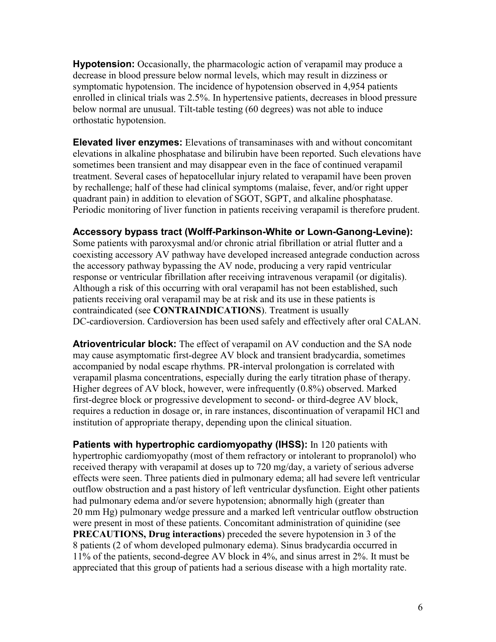**Hypotension:** Occasionally, the pharmacologic action of verapamil may produce a decrease in blood pressure below normal levels, which may result in dizziness or symptomatic hypotension. The incidence of hypotension observed in 4,954 patients enrolled in clinical trials was 2.5%. In hypertensive patients, decreases in blood pressure below normal are unusual. Tilt-table testing (60 degrees) was not able to induce orthostatic hypotension.

**Elevated liver enzymes:** Elevations of transaminases with and without concomitant elevations in alkaline phosphatase and bilirubin have been reported. Such elevations have sometimes been transient and may disappear even in the face of continued verapamil treatment. Several cases of hepatocellular injury related to verapamil have been proven by rechallenge; half of these had clinical symptoms (malaise, fever, and/or right upper quadrant pain) in addition to elevation of SGOT, SGPT, and alkaline phosphatase. Periodic monitoring of liver function in patients receiving verapamil is therefore prudent.

#### **Accessory bypass tract (Wolff-Parkinson-White or Lown-Ganong-Levine):**

Some patients with paroxysmal and/or chronic atrial fibrillation or atrial flutter and a coexisting accessory AV pathway have developed increased antegrade conduction across the accessory pathway bypassing the AV node, producing a very rapid ventricular response or ventricular fibrillation after receiving intravenous verapamil (or digitalis). Although a risk of this occurring with oral verapamil has not been established, such patients receiving oral verapamil may be at risk and its use in these patients is contraindicated (see **CONTRAINDICATIONS**). Treatment is usually DC-cardioversion. Cardioversion has been used safely and effectively after oral CALAN.

**Atrioventricular block:** The effect of verapamil on AV conduction and the SA node may cause asymptomatic first-degree AV block and transient bradycardia, sometimes accompanied by nodal escape rhythms. PR-interval prolongation is correlated with verapamil plasma concentrations, especially during the early titration phase of therapy. Higher degrees of AV block, however, were infrequently (0.8%) observed. Marked first-degree block or progressive development to second- or third-degree AV block, requires a reduction in dosage or, in rare instances, discontinuation of verapamil HCl and institution of appropriate therapy, depending upon the clinical situation.

**Patients with hypertrophic cardiomyopathy (IHSS):** In 120 patients with hypertrophic cardiomyopathy (most of them refractory or intolerant to propranolol) who received therapy with verapamil at doses up to 720 mg/day, a variety of serious adverse effects were seen. Three patients died in pulmonary edema; all had severe left ventricular outflow obstruction and a past history of left ventricular dysfunction. Eight other patients had pulmonary edema and/or severe hypotension; abnormally high (greater than 20 mm Hg) pulmonary wedge pressure and a marked left ventricular outflow obstruction were present in most of these patients. Concomitant administration of quinidine (see **PRECAUTIONS, Drug interactions**) preceded the severe hypotension in 3 of the 8 patients (2 of whom developed pulmonary edema). Sinus bradycardia occurred in 11% of the patients, second-degree AV block in 4%, and sinus arrest in 2%. It must be appreciated that this group of patients had a serious disease with a high mortality rate.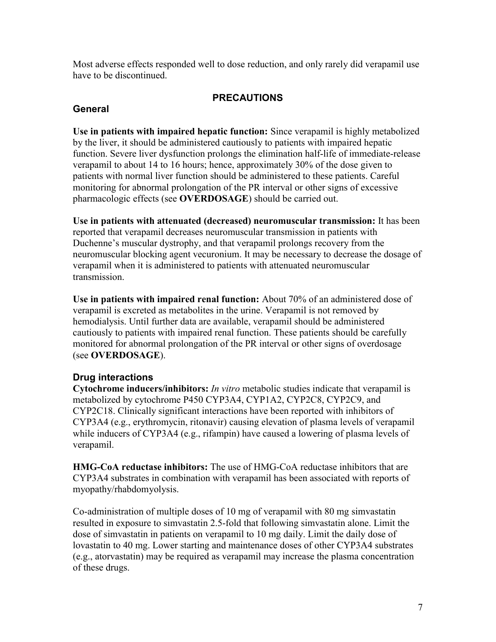Most adverse effects responded well to dose reduction, and only rarely did verapamil use have to be discontinued.

# **PRECAUTIONS**

# **General**

**Use in patients with impaired hepatic function:** Since verapamil is highly metabolized by the liver, it should be administered cautiously to patients with impaired hepatic function. Severe liver dysfunction prolongs the elimination half-life of immediate-release verapamil to about 14 to 16 hours; hence, approximately 30% of the dose given to patients with normal liver function should be administered to these patients. Careful monitoring for abnormal prolongation of the PR interval or other signs of excessive pharmacologic effects (see **OVERDOSAGE**) should be carried out.

**Use in patients with attenuated (decreased) neuromuscular transmission:** It has been reported that verapamil decreases neuromuscular transmission in patients with Duchenne's muscular dystrophy, and that verapamil prolongs recovery from the neuromuscular blocking agent vecuronium. It may be necessary to decrease the dosage of verapamil when it is administered to patients with attenuated neuromuscular transmission.

**Use in patients with impaired renal function:** About 70% of an administered dose of verapamil is excreted as metabolites in the urine. Verapamil is not removed by hemodialysis. Until further data are available, verapamil should be administered cautiously to patients with impaired renal function. These patients should be carefully monitored for abnormal prolongation of the PR interval or other signs of overdosage (see **OVERDOSAGE**).

## **Drug interactions**

**Cytochrome inducers/inhibitors:** *In vitro* metabolic studies indicate that verapamil is metabolized by cytochrome P450 CYP3A4, CYP1A2, CYP2C8, CYP2C9, and CYP2C18. Clinically significant interactions have been reported with inhibitors of CYP3A4 (e.g., erythromycin, ritonavir) causing elevation of plasma levels of verapamil while inducers of CYP3A4 (e.g., rifampin) have caused a lowering of plasma levels of verapamil.

**HMG-CoA reductase inhibitors:** The use of HMG-CoA reductase inhibitors that are CYP3A4 substrates in combination with verapamil has been associated with reports of myopathy/rhabdomyolysis.

Co-administration of multiple doses of 10 mg of verapamil with 80 mg simvastatin resulted in exposure to simvastatin 2.5-fold that following simvastatin alone. Limit the dose of simvastatin in patients on verapamil to 10 mg daily. Limit the daily dose of lovastatin to 40 mg. Lower starting and maintenance doses of other CYP3A4 substrates (e.g., atorvastatin) may be required as verapamil may increase the plasma concentration of these drugs.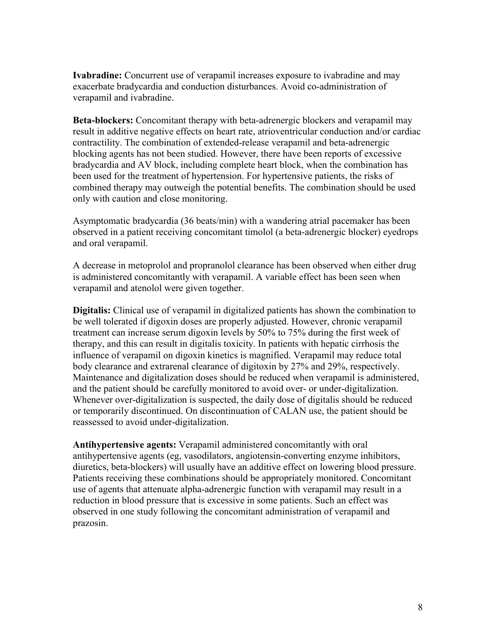**Ivabradine:** Concurrent use of verapamil increases exposure to ivabradine and may exacerbate bradycardia and conduction disturbances. Avoid co-administration of verapamil and ivabradine.

**Beta-blockers:** Concomitant therapy with beta-adrenergic blockers and verapamil may result in additive negative effects on heart rate, atrioventricular conduction and/or cardiac contractility. The combination of extended-release verapamil and beta-adrenergic blocking agents has not been studied. However, there have been reports of excessive bradycardia and AV block, including complete heart block, when the combination has been used for the treatment of hypertension. For hypertensive patients, the risks of combined therapy may outweigh the potential benefits. The combination should be used only with caution and close monitoring.

Asymptomatic bradycardia (36 beats/min) with a wandering atrial pacemaker has been observed in a patient receiving concomitant timolol (a beta-adrenergic blocker) eyedrops and oral verapamil.

A decrease in metoprolol and propranolol clearance has been observed when either drug is administered concomitantly with verapamil. A variable effect has been seen when verapamil and atenolol were given together.

**Digitalis:** Clinical use of verapamil in digitalized patients has shown the combination to be well tolerated if digoxin doses are properly adjusted. However, chronic verapamil treatment can increase serum digoxin levels by 50% to 75% during the first week of therapy, and this can result in digitalis toxicity. In patients with hepatic cirrhosis the influence of verapamil on digoxin kinetics is magnified. Verapamil may reduce total body clearance and extrarenal clearance of digitoxin by 27% and 29%, respectively. Maintenance and digitalization doses should be reduced when verapamil is administered, and the patient should be carefully monitored to avoid over- or under-digitalization. Whenever over-digitalization is suspected, the daily dose of digitalis should be reduced or temporarily discontinued. On discontinuation of CALAN use, the patient should be reassessed to avoid under-digitalization.

**Antihypertensive agents:** Verapamil administered concomitantly with oral antihypertensive agents (eg, vasodilators, angiotensin-converting enzyme inhibitors, diuretics, beta-blockers) will usually have an additive effect on lowering blood pressure. Patients receiving these combinations should be appropriately monitored. Concomitant use of agents that attenuate alpha-adrenergic function with verapamil may result in a reduction in blood pressure that is excessive in some patients. Such an effect was observed in one study following the concomitant administration of verapamil and prazosin.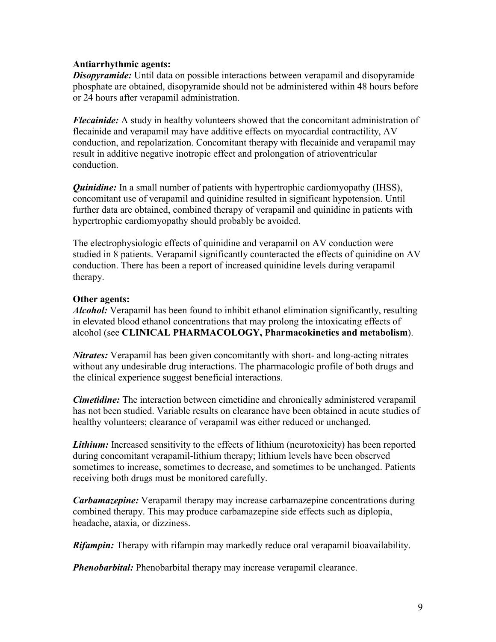### **Antiarrhythmic agents:**

*Disopyramide:* Until data on possible interactions between verapamil and disopyramide phosphate are obtained, disopyramide should not be administered within 48 hours before or 24 hours after verapamil administration.

*Flecainide:* A study in healthy volunteers showed that the concomitant administration of flecainide and verapamil may have additive effects on myocardial contractility, AV conduction, and repolarization. Concomitant therapy with flecainide and verapamil may result in additive negative inotropic effect and prolongation of atrioventricular conduction.

*Quinidine:* In a small number of patients with hypertrophic cardiomyopathy (IHSS), concomitant use of verapamil and quinidine resulted in significant hypotension. Until further data are obtained, combined therapy of verapamil and quinidine in patients with hypertrophic cardiomyopathy should probably be avoided.

The electrophysiologic effects of quinidine and verapamil on AV conduction were studied in 8 patients. Verapamil significantly counteracted the effects of quinidine on AV conduction. There has been a report of increased quinidine levels during verapamil therapy.

### **Other agents:**

*Alcohol:* Verapamil has been found to inhibit ethanol elimination significantly, resulting in elevated blood ethanol concentrations that may prolong the intoxicating effects of alcohol (see **CLINICAL PHARMACOLOGY, Pharmacokinetics and metabolism**).

*Nitrates:* Verapamil has been given concomitantly with short- and long-acting nitrates without any undesirable drug interactions. The pharmacologic profile of both drugs and the clinical experience suggest beneficial interactions.

*Cimetidine:* The interaction between cimetidine and chronically administered verapamil has not been studied. Variable results on clearance have been obtained in acute studies of healthy volunteers; clearance of verapamil was either reduced or unchanged.

*Lithium:* Increased sensitivity to the effects of lithium (neurotoxicity) has been reported during concomitant verapamil-lithium therapy; lithium levels have been observed sometimes to increase, sometimes to decrease, and sometimes to be unchanged. Patients receiving both drugs must be monitored carefully.

*Carbamazepine:* Verapamil therapy may increase carbamazepine concentrations during combined therapy. This may produce carbamazepine side effects such as diplopia, headache, ataxia, or dizziness.

*Rifampin:* Therapy with rifampin may markedly reduce oral verapamil bioavailability.

*Phenobarbital:* Phenobarbital therapy may increase verapamil clearance.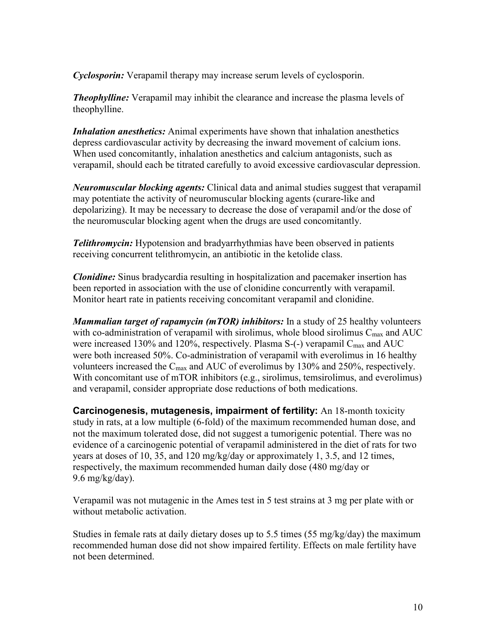*Cyclosporin:* Verapamil therapy may increase serum levels of cyclosporin.

**Theophylline:** Verapamil may inhibit the clearance and increase the plasma levels of theophylline.

*Inhalation anesthetics:* Animal experiments have shown that inhalation anesthetics depress cardiovascular activity by decreasing the inward movement of calcium ions. When used concomitantly, inhalation anesthetics and calcium antagonists, such as verapamil, should each be titrated carefully to avoid excessive cardiovascular depression.

*Neuromuscular blocking agents:* Clinical data and animal studies suggest that verapamil may potentiate the activity of neuromuscular blocking agents (curare-like and depolarizing). It may be necessary to decrease the dose of verapamil and/or the dose of the neuromuscular blocking agent when the drugs are used concomitantly.

*Telithromycin:* Hypotension and bradyarrhythmias have been observed in patients receiving concurrent telithromycin, an antibiotic in the ketolide class.

*Clonidine:* Sinus bradycardia resulting in hospitalization and pacemaker insertion has been reported in association with the use of clonidine concurrently with verapamil. Monitor heart rate in patients receiving concomitant verapamil and clonidine.

*Mammalian target of rapamycin (mTOR) inhibitors:* In a study of 25 healthy volunteers with co-administration of verapamil with sirolimus, whole blood sirolimus  $C_{\text{max}}$  and AUC were increased 130% and 120%, respectively. Plasma S- $(-)$  verapamil  $C_{\text{max}}$  and AUC were both increased 50%. Co-administration of verapamil with everolimus in 16 healthy volunteers increased the  $C_{\text{max}}$  and AUC of everolimus by 130% and 250%, respectively. With concomitant use of mTOR inhibitors (e.g., sirolimus, temsirolimus, and everolimus) and verapamil, consider appropriate dose reductions of both medications.

**Carcinogenesis, mutagenesis, impairment of fertility:** An 18-month toxicity study in rats, at a low multiple (6-fold) of the maximum recommended human dose, and not the maximum tolerated dose, did not suggest a tumorigenic potential. There was no evidence of a carcinogenic potential of verapamil administered in the diet of rats for two years at doses of 10, 35, and 120 mg/kg/day or approximately 1, 3.5, and 12 times, respectively, the maximum recommended human daily dose (480 mg/day or  $9.6 \text{ mg/kg/day}$ ).

Verapamil was not mutagenic in the Ames test in 5 test strains at 3 mg per plate with or without metabolic activation.

Studies in female rats at daily dietary doses up to 5.5 times (55 mg/kg/day) the maximum recommended human dose did not show impaired fertility. Effects on male fertility have not been determined.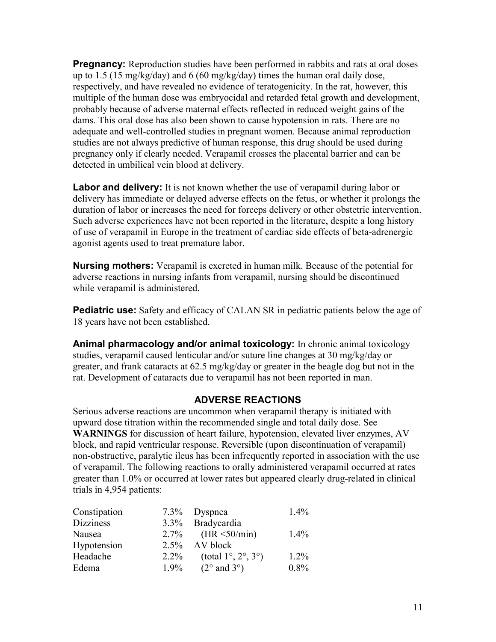**Pregnancy:** Reproduction studies have been performed in rabbits and rats at oral doses up to 1.5 (15 mg/kg/day) and 6 (60 mg/kg/day) times the human oral daily dose, respectively, and have revealed no evidence of teratogenicity. In the rat, however, this multiple of the human dose was embryocidal and retarded fetal growth and development, probably because of adverse maternal effects reflected in reduced weight gains of the dams. This oral dose has also been shown to cause hypotension in rats. There are no adequate and well-controlled studies in pregnant women. Because animal reproduction studies are not always predictive of human response, this drug should be used during pregnancy only if clearly needed. Verapamil crosses the placental barrier and can be detected in umbilical vein blood at delivery.

**Labor and delivery:** It is not known whether the use of verapamil during labor or delivery has immediate or delayed adverse effects on the fetus, or whether it prolongs the duration of labor or increases the need for forceps delivery or other obstetric intervention. Such adverse experiences have not been reported in the literature, despite a long history of use of verapamil in Europe in the treatment of cardiac side effects of beta-adrenergic agonist agents used to treat premature labor.

**Nursing mothers:** Verapamil is excreted in human milk. Because of the potential for adverse reactions in nursing infants from verapamil, nursing should be discontinued while verapamil is administered.

**Pediatric use:** Safety and efficacy of CALAN SR in pediatric patients below the age of 18 years have not been established.

**Animal pharmacology and/or animal toxicology:** In chronic animal toxicology studies, verapamil caused lenticular and/or suture line changes at 30 mg/kg/day or greater, and frank cataracts at 62.5 mg/kg/day or greater in the beagle dog but not in the rat. Development of cataracts due to verapamil has not been reported in man.

## **ADVERSE REACTIONS**

Serious adverse reactions are uncommon when verapamil therapy is initiated with upward dose titration within the recommended single and total daily dose. See **WARNINGS** for discussion of heart failure, hypotension, elevated liver enzymes, AV block, and rapid ventricular response. Reversible (upon discontinuation of verapamil) non-obstructive, paralytic ileus has been infrequently reported in association with the use of verapamil. The following reactions to orally administered verapamil occurred at rates greater than 1.0% or occurred at lower rates but appeared clearly drug-related in clinical trials in 4,954 patients:

| Constipation     |         | 7.3% Dyspnea                               | $1.4\%$ |
|------------------|---------|--------------------------------------------|---------|
| <b>Dizziness</b> |         | 3.3% Bradycardia                           |         |
| Nausea           | $2.7\%$ | (HR < 50/min)                              | $1.4\%$ |
| Hypotension      |         | $2.5\%$ AV block                           |         |
| Headache         | $2.2\%$ | (total $1^\circ$ , $2^\circ$ , $3^\circ$ ) | $1.2\%$ |
| Edema            | $1.9\%$ | $(2^{\circ}$ and $3^{\circ})$              | 0.8%    |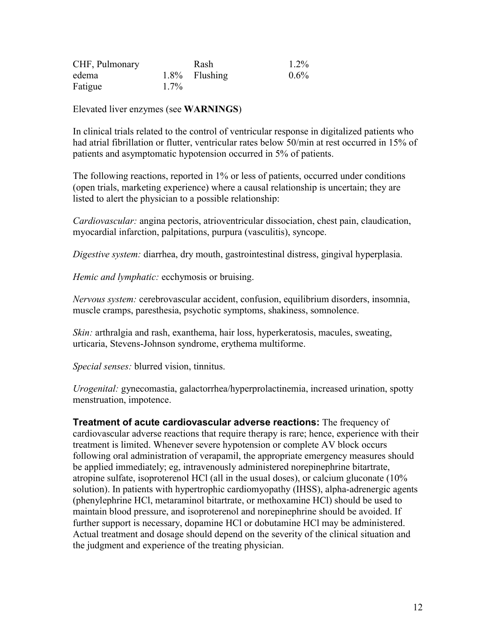| CHF, Pulmonary |         | Rash             | $1.2\%$ |
|----------------|---------|------------------|---------|
| edema          |         | $1.8\%$ Flushing | $0.6\%$ |
| Fatigue        | $1.7\%$ |                  |         |

Elevated liver enzymes (see **WARNINGS**)

In clinical trials related to the control of ventricular response in digitalized patients who had atrial fibrillation or flutter, ventricular rates below 50/min at rest occurred in 15% of patients and asymptomatic hypotension occurred in 5% of patients.

The following reactions, reported in 1% or less of patients, occurred under conditions (open trials, marketing experience) where a causal relationship is uncertain; they are listed to alert the physician to a possible relationship:

*Cardiovascular:* angina pectoris, atrioventricular dissociation, chest pain, claudication, myocardial infarction, palpitations, purpura (vasculitis), syncope.

*Digestive system:* diarrhea, dry mouth, gastrointestinal distress, gingival hyperplasia.

*Hemic and lymphatic:* ecchymosis or bruising.

*Nervous system:* cerebrovascular accident, confusion, equilibrium disorders, insomnia, muscle cramps, paresthesia, psychotic symptoms, shakiness, somnolence.

*Skin:* arthralgia and rash, exanthema, hair loss, hyperkeratosis, macules, sweating, urticaria, Stevens-Johnson syndrome, erythema multiforme.

*Special senses:* blurred vision, tinnitus.

*Urogenital:* gynecomastia, galactorrhea/hyperprolactinemia, increased urination, spotty menstruation, impotence.

**Treatment of acute cardiovascular adverse reactions:** The frequency of cardiovascular adverse reactions that require therapy is rare; hence, experience with their treatment is limited. Whenever severe hypotension or complete AV block occurs following oral administration of verapamil, the appropriate emergency measures should be applied immediately; eg, intravenously administered norepinephrine bitartrate, atropine sulfate, isoproterenol HCl (all in the usual doses), or calcium gluconate (10% solution). In patients with hypertrophic cardiomyopathy (IHSS), alpha-adrenergic agents (phenylephrine HCl, metaraminol bitartrate, or methoxamine HCl) should be used to maintain blood pressure, and isoproterenol and norepinephrine should be avoided. If further support is necessary, dopamine HCl or dobutamine HCl may be administered. Actual treatment and dosage should depend on the severity of the clinical situation and the judgment and experience of the treating physician.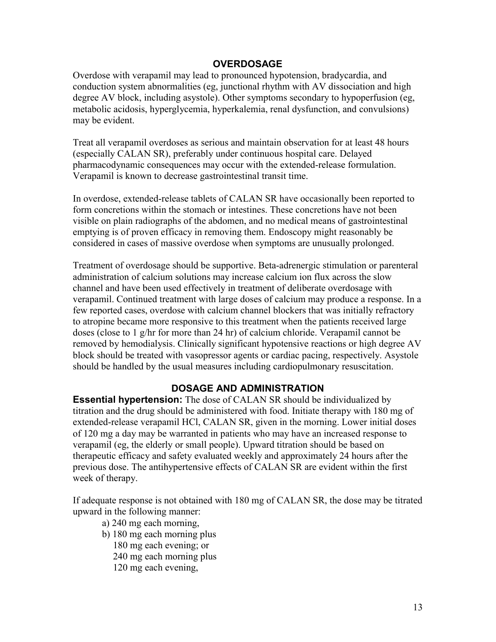### **OVERDOSAGE**

Overdose with verapamil may lead to pronounced hypotension, bradycardia, and conduction system abnormalities (eg, junctional rhythm with AV dissociation and high degree AV block, including asystole). Other symptoms secondary to hypoperfusion (eg, metabolic acidosis, hyperglycemia, hyperkalemia, renal dysfunction, and convulsions) may be evident.

Treat all verapamil overdoses as serious and maintain observation for at least 48 hours (especially CALAN SR), preferably under continuous hospital care. Delayed pharmacodynamic consequences may occur with the extended-release formulation. Verapamil is known to decrease gastrointestinal transit time.

In overdose, extended-release tablets of CALAN SR have occasionally been reported to form concretions within the stomach or intestines. These concretions have not been visible on plain radiographs of the abdomen, and no medical means of gastrointestinal emptying is of proven efficacy in removing them. Endoscopy might reasonably be considered in cases of massive overdose when symptoms are unusually prolonged.

Treatment of overdosage should be supportive. Beta-adrenergic stimulation or parenteral administration of calcium solutions may increase calcium ion flux across the slow channel and have been used effectively in treatment of deliberate overdosage with verapamil. Continued treatment with large doses of calcium may produce a response. In a few reported cases, overdose with calcium channel blockers that was initially refractory to atropine became more responsive to this treatment when the patients received large doses (close to 1 g/hr for more than 24 hr) of calcium chloride. Verapamil cannot be removed by hemodialysis. Clinically significant hypotensive reactions or high degree AV block should be treated with vasopressor agents or cardiac pacing, respectively. Asystole should be handled by the usual measures including cardiopulmonary resuscitation.

#### **DOSAGE AND ADMINISTRATION**

**Essential hypertension:** The dose of CALAN SR should be individualized by titration and the drug should be administered with food. Initiate therapy with 180 mg of extended-release verapamil HCl, CALAN SR, given in the morning. Lower initial doses of 120 mg a day may be warranted in patients who may have an increased response to verapamil (eg, the elderly or small people). Upward titration should be based on therapeutic efficacy and safety evaluated weekly and approximately 24 hours after the previous dose. The antihypertensive effects of CALAN SR are evident within the first week of therapy.

If adequate response is not obtained with 180 mg of CALAN SR, the dose may be titrated upward in the following manner:

- a) 240 mg each morning,
- b) 180 mg each morning plus
	- 180 mg each evening; or
	- 240 mg each morning plus
	- 120 mg each evening,